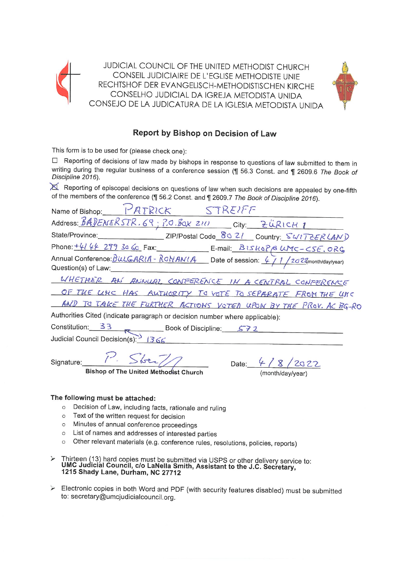

JUDICIAL COUNCIL OF THE UNITED METHODIST CHURCH CONSEIL JUDICIAIRE DE L'EGLISE METHODISTE UNIE RECHTSHOF DER EVANGELISCH-METHODISTISCHEN KIRCHF CONSELHO JUDICIAL DA IGREJA METODISTA UNIDA CONSEJO DE LA JUDICATURA DE LA IGLESIA METODISTA UNIDA



# Report by Bishop on Decision of Law

This form is to be used for (please check one):

□ Reporting of decisions of law made by bishops in response to questions of law submitted to them in writing during the regular business of a conference session (¶ 56.3 Const. and ¶ 2609.6 The Book of Discipline 2016).

Reporting of episcopal decisions on questions of law when such decisions are appealed by one-fifth of the members of the conference (¶ 56.2 Const. and ¶ 2609.7 The Book of Discipline 2016).

| Name of Bishop: PATRICK STREIFF                                                                                                                                                                                                              |
|----------------------------------------------------------------------------------------------------------------------------------------------------------------------------------------------------------------------------------------------|
| Address: BADENERSTR.69; P.O. BOX 2111 City: ZÜRICH 1                                                                                                                                                                                         |
|                                                                                                                                                                                                                                              |
|                                                                                                                                                                                                                                              |
| Phone: $\frac{4144273366c}{4279366c}$ Fax: E-mail: $\frac{B1540P6}{wN}$ $\frac{W7 - 5E, 0R6}{wN}$<br>Annual Conference: $\frac{B160P6R14 - R0V}{4}$ Date of session: $\frac{41}{20}$ $\frac{2022}{w}$ month/day/year)<br>Question(s) of Law: |
| WHETHER AN ANNUAL CONFERENCE IN A CENTRAL CONFERENCE                                                                                                                                                                                         |
| OF THE URC HAS AUTHORITY TO VOTE TO SEPARATE FROM THE UNC                                                                                                                                                                                    |
| AND TO TAKE THE FURTHER ACTIONS VOTED UPON BY THE PROV. AC BG-RO                                                                                                                                                                             |
| Authorities Cited (indicate paragraph or decision number where applicable):                                                                                                                                                                  |
| Constitution: 33 R Book of Discipline: 572                                                                                                                                                                                                   |
| Judicial Council Decision(s): 1366                                                                                                                                                                                                           |

Signature:

**Bishop of The United Methodist Church** 

Date: (month/dav/vear)

## The following must be attached:

- Decision of Law, including facts, rationale and ruling  $\cap$
- Text of the written request for decision  $\Omega$
- o Minutes of annual conference proceedings
- o List of names and addresses of interested parties
- o Other relevant materials (e.g. conference rules, resolutions, policies, reports)
- Thirteen (13) hard copies must be submitted via USPS or other delivery service to:<br>UMC Judicial Council, c/o LaNella Smith, Assistant to the J.C. Secretary,  $\blacktriangleright$ 1215 Shady Lane, Durham, NC 27712
- Electronic copies in both Word and PDF (with security features disabled) must be submitted  $\blacktriangleright$ to: secretary@umcjudicialcouncil.org.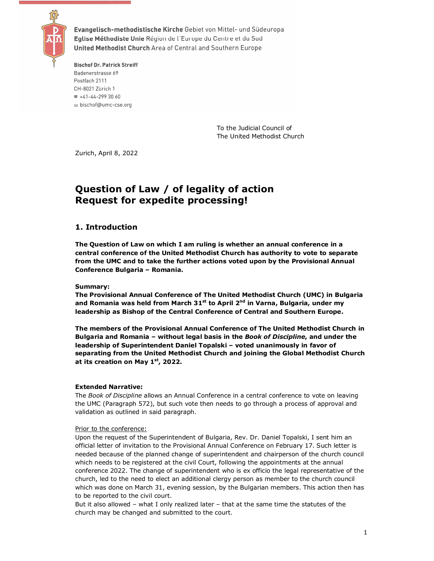

Evangelisch-methodistische Kirche Gebiet von Mittel- und Südeuropa Eglise Méthodiste Unie Région de l'Europe du Centre et du Sud United Methodist Church Area of Central and Southern Europe

**Bischof Dr. Patrick Streiff** Badenerstrasse 69 Postfach 2111 CH-8021 Zürich 1  $\pi$  +41-44-299 30 60 ⊠ bischof@umc-cse.org

> To the Judicial Council of The United Methodist Church

Zurich, April 8, 2022

# **Question of Law / of legality of action Request for expedite processing!**

## **1. Introduction**

**The Question of Law on which I am ruling is whether an annual conference in a central conference of the United Methodist Church has authority to vote to separate from the UMC and to take the further actions voted upon by the Provisional Annual Conference Bulgaria – Romania.** 

### **Summary:**

**The Provisional Annual Conference of The United Methodist Church (UMC) in Bulgaria and Romania was held from March 31st to April 2nd in Varna, Bulgaria, under my leadership as Bishop of the Central Conference of Central and Southern Europe.** 

**The members of the Provisional Annual Conference of The United Methodist Church in Bulgaria and Romania – without legal basis in the** *Book of Discipline***, and under the leadership of Superintendent Daniel Topalski – voted unanimously in favor of separating from the United Methodist Church and joining the Global Methodist Church at its creation on May 1st, 2022.** 

#### **Extended Narrative:**

The *Book of Discipline* allows an Annual Conference in a central conference to vote on leaving the UMC (Paragraph 572), but such vote then needs to go through a process of approval and validation as outlined in said paragraph.

#### Prior to the conference:

Upon the request of the Superintendent of Bulgaria, Rev. Dr. Daniel Topalski, I sent him an official letter of invitation to the Provisional Annual Conference on February 17. Such letter is needed because of the planned change of superintendent and chairperson of the church council which needs to be registered at the civil Court, following the appointments at the annual conference 2022. The change of superintendent who is ex officio the legal representative of the church, led to the need to elect an additional clergy person as member to the church council which was done on March 31, evening session, by the Bulgarian members. This action then has to be reported to the civil court.

But it also allowed – what I only realized later – that at the same time the statutes of the church may be changed and submitted to the court.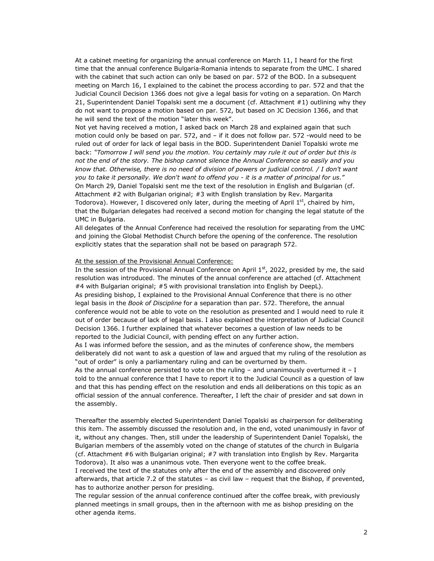At a cabinet meeting for organizing the annual conference on March 11, I heard for the first time that the annual conference Bulgaria-Romania intends to separate from the UMC. I shared with the cabinet that such action can only be based on par. 572 of the BOD. In a subsequent meeting on March 16, I explained to the cabinet the process according to par. 572 and that the Judicial Council Decision 1366 does not give a legal basis for voting on a separation. On March 21, Superintendent Daniel Topalski sent me a document (cf. Attachment #1) outlining why they do not want to propose a motion based on par. 572, but based on JC Decision 1366, and that he will send the text of the motion "later this week".

Not yet having received a motion, I asked back on March 28 and explained again that such motion could only be based on par. 572, and – if it does not follow par. 572 -would need to be ruled out of order for lack of legal basis in the BOD. Superintendent Daniel Topalski wrote me back: *"Tomorrow I will send you the motion. You certainly may rule it out of order but this is not the end of the story. The bishop cannot silence the Annual Conference so easily and you know that. Otherwise, there is no need of division of powers or judicial control. / I don't want you to take it personally. We don't want to offend you - it is a matter of principal for us."*  On March 29, Daniel Topalski sent me the text of the resolution in English and Bulgarian (cf. Attachment #2 with Bulgarian original; #3 with English translation by Rev. Margarita Todorova). However, I discovered only later, during the meeting of April  $1<sup>st</sup>$ , chaired by him, that the Bulgarian delegates had received a second motion for changing the legal statute of the UMC in Bulgaria.

All delegates of the Annual Conference had received the resolution for separating from the UMC and joining the Global Methodist Church before the opening of the conference. The resolution explicitly states that the separation shall not be based on paragraph 572.

#### At the session of the Provisional Annual Conference:

In the session of the Provisional Annual Conference on April 1st, 2022, presided by me, the said resolution was introduced. The minutes of the annual conference are attached (cf. Attachment #4 with Bulgarian original; #5 with provisional translation into English by DeepL). As presiding bishop, I explained to the Provisional Annual Conference that there is no other legal basis in the *Book of Discipline* for a separation than par. 572. Therefore, the annual conference would not be able to vote on the resolution as presented and I would need to rule it out of order because of lack of legal basis. I also explained the interpretation of Judicial Council Decision 1366. I further explained that whatever becomes a question of law needs to be reported to the Judicial Council, with pending effect on any further action.

As I was informed before the session, and as the minutes of conference show, the members deliberately did not want to ask a question of law and argued that my ruling of the resolution as "out of order" is only a parliamentary ruling and can be overturned by them.

As the annual conference persisted to vote on the ruling  $-$  and unanimously overturned it  $- I$ told to the annual conference that I have to report it to the Judicial Council as a question of law and that this has pending effect on the resolution and ends all deliberations on this topic as an official session of the annual conference. Thereafter, I left the chair of presider and sat down in the assembly.

Thereafter the assembly elected Superintendent Daniel Topalski as chairperson for deliberating this item. The assembly discussed the resolution and, in the end, voted unanimously in favor of it, without any changes. Then, still under the leadership of Superintendent Daniel Topalski, the Bulgarian members of the assembly voted on the change of statutes of the church in Bulgaria (cf. Attachment #6 with Bulgarian original; #7 with translation into English by Rev. Margarita Todorova). It also was a unanimous vote. Then everyone went to the coffee break.

I received the text of the statutes only after the end of the assembly and discovered only afterwards, that article 7.2 of the statutes – as civil law – request that the Bishop, if prevented, has to authorize another person for presiding.

The regular session of the annual conference continued after the coffee break, with previously planned meetings in small groups, then in the afternoon with me as bishop presiding on the other agenda items.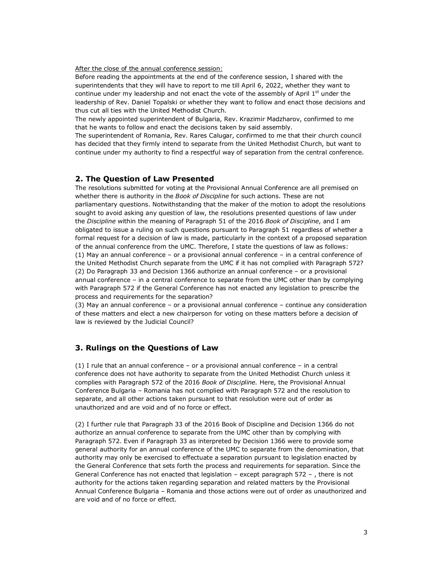After the close of the annual conference session:

Before reading the appointments at the end of the conference session, I shared with the superintendents that they will have to report to me till April 6, 2022, whether they want to continue under my leadership and not enact the vote of the assembly of April  $1<sup>st</sup>$  under the leadership of Rev. Daniel Topalski or whether they want to follow and enact those decisions and thus cut all ties with the United Methodist Church.

The newly appointed superintendent of Bulgaria, Rev. Krazimir Madzharov, confirmed to me that he wants to follow and enact the decisions taken by said assembly.

The superintendent of Romania, Rev. Rares Calugar, confirmed to me that their church council has decided that they firmly intend to separate from the United Methodist Church, but want to continue under my authority to find a respectful way of separation from the central conference.

### **2. The Question of Law Presented**

The resolutions submitted for voting at the Provisional Annual Conference are all premised on whether there is authority in the *Book of Discipline* for such actions. These are not parliamentary questions. Notwithstanding that the maker of the motion to adopt the resolutions sought to avoid asking any question of law, the resolutions presented questions of law under the *Discipline* within the meaning of Paragraph 51 of the 2016 *Book of Discipline*, and I am obligated to issue a ruling on such questions pursuant to Paragraph 51 regardless of whether a formal request for a decision of law is made, particularly in the context of a proposed separation of the annual conference from the UMC. Therefore, I state the questions of law as follows: (1) May an annual conference – or a provisional annual conference – in a central conference of the United Methodist Church separate from the UMC if it has not complied with Paragraph 572? (2) Do Paragraph 33 and Decision 1366 authorize an annual conference – or a provisional annual conference – in a central conference to separate from the UMC other than by complying with Paragraph 572 if the General Conference has not enacted any legislation to prescribe the process and requirements for the separation?

(3) May an annual conference – or a provisional annual conference – continue any consideration of these matters and elect a new chairperson for voting on these matters before a decision of law is reviewed by the Judicial Council?

### **3. Rulings on the Questions of Law**

(1) I rule that an annual conference – or a provisional annual conference – in a central conference does not have authority to separate from the United Methodist Church unless it complies with Paragraph 572 of the 2016 *Book of Discipline.* Here, the Provisional Annual Conference Bulgaria – Romania has not complied with Paragraph 572 and the resolution to separate, and all other actions taken pursuant to that resolution were out of order as unauthorized and are void and of no force or effect.

(2) I further rule that Paragraph 33 of the 2016 Book of Discipline and Decision 1366 do not authorize an annual conference to separate from the UMC other than by complying with Paragraph 572. Even if Paragraph 33 as interpreted by Decision 1366 were to provide some general authority for an annual conference of the UMC to separate from the denomination, that authority may only be exercised to effectuate a separation pursuant to legislation enacted by the General Conference that sets forth the process and requirements for separation. Since the General Conference has not enacted that legislation – except paragraph 572 – , there is not authority for the actions taken regarding separation and related matters by the Provisional Annual Conference Bulgaria – Romania and those actions were out of order as unauthorized and are void and of no force or effect.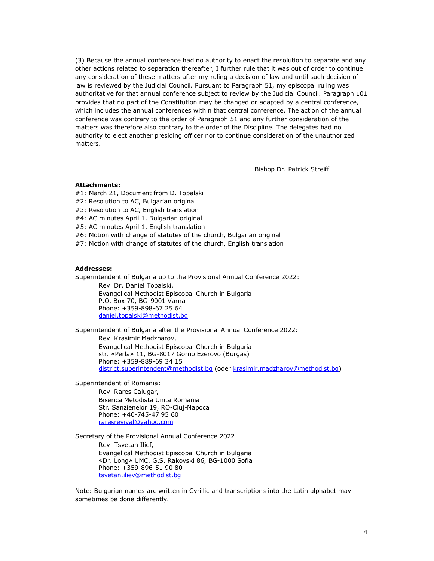(3) Because the annual conference had no authority to enact the resolution to separate and any other actions related to separation thereafter, I further rule that it was out of order to continue any consideration of these matters after my ruling a decision of law and until such decision of law is reviewed by the Judicial Council. Pursuant to Paragraph 51, my episcopal ruling was authoritative for that annual conference subject to review by the Judicial Council. Paragraph 101 provides that no part of the Constitution may be changed or adapted by a central conference, which includes the annual conferences within that central conference. The action of the annual conference was contrary to the order of Paragraph 51 and any further consideration of the matters was therefore also contrary to the order of the Discipline. The delegates had no authority to elect another presiding officer nor to continue consideration of the unauthorized matters.

Bishop Dr. Patrick Streiff

#### **Attachments:**

- #1: March 21, Document from D. Topalski
- #2: Resolution to AC, Bulgarian original
- #3: Resolution to AC, English translation
- #4: AC minutes April 1, Bulgarian original
- #5: AC minutes April 1, English translation
- #6: Motion with change of statutes of the church, Bulgarian original
- #7: Motion with change of statutes of the church, English translation

#### **Addresses:**

Superintendent of Bulgaria up to the Provisional Annual Conference 2022: Rev. Dr. Daniel Topalski,

Evangelical Methodist Episcopal Church in Bulgaria P.O. Box 70, BG-9001 Varna Phone: +359-898-67 25 64 daniel.topalski@methodist.bg

Superintendent of Bulgaria after the Provisional Annual Conference 2022: Rev. Krasimir Madzharov, Evangelical Methodist Episcopal Church in Bulgaria str. «Perla» 11, BG-8017 Gorno Ezerovo (Burgas) Phone: +359-889-69 34 15 district.superintendent@methodist.bg (oder krasimir.madzharov@methodist.bg)

Superintendent of Romania:

Rev. Rares Calugar, Biserica Metodista Unita Romania Str. Sanzienelor 19, RO-Cluj-Napoca Phone: +40-745-47 95 60 raresrevival@yahoo.com

Secretary of the Provisional Annual Conference 2022: Rev. Tsvetan Ilief, Evangelical Methodist Episcopal Church in Bulgaria «Dr. Long» UMC, G.S. Rakovski 86, BG-1000 Sofia Phone: +359-896-51 90 80 tsvetan.iliev@methodist.bg

Note: Bulgarian names are written in Cyrillic and transcriptions into the Latin alphabet may sometimes be done differently.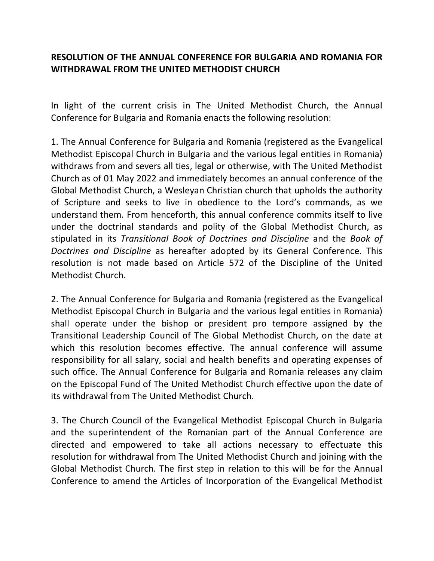# **RESOLUTION OF THE ANNUAL CONFERENCE FOR BULGARIA AND ROMANIA FOR WITHDRAWAL FROM THE UNITED METHODIST CHURCH**

In light of the current crisis in The United Methodist Church, the Annual Conference for Bulgaria and Romania enacts the following resolution:

1. The Annual Conference for Bulgaria and Romania (registered as the Evangelical Methodist Episcopal Church in Bulgaria and the various legal entities in Romania) withdraws from and severs all ties, legal or otherwise, with The United Methodist Church as of 01 May 2022 and immediately becomes an annual conference of the Global Methodist Church, a Wesleyan Christian church that upholds the authority of Scripture and seeks to live in obedience to the Lord's commands, as we understand them. From henceforth, this annual conference commits itself to live under the doctrinal standards and polity of the Global Methodist Church, as stipulated in its *Transitional Book of Doctrines and Discipline* and the *Book of Doctrines and Discipline* as hereafter adopted by its General Conference. This resolution is not made based on Article 572 of the Discipline of the United Methodist Church.

2. The Annual Conference for Bulgaria and Romania (registered as the Evangelical Methodist Episcopal Church in Bulgaria and the various legal entities in Romania) shall operate under the bishop or president pro tempore assigned by the Transitional Leadership Council of The Global Methodist Church, on the date at which this resolution becomes effective. The annual conference will assume responsibility for all salary, social and health benefits and operating expenses of such office. The Annual Conference for Bulgaria and Romania releases any claim on the Episcopal Fund of The United Methodist Church effective upon the date of its withdrawal from The United Methodist Church.

3. The Church Council of the Evangelical Methodist Episcopal Church in Bulgaria and the superintendent of the Romanian part of the Annual Conference are directed and empowered to take all actions necessary to effectuate this resolution for withdrawal from The United Methodist Church and joining with the Global Methodist Church. The first step in relation to this will be for the Annual Conference to amend the Articles of Incorporation of the Evangelical Methodist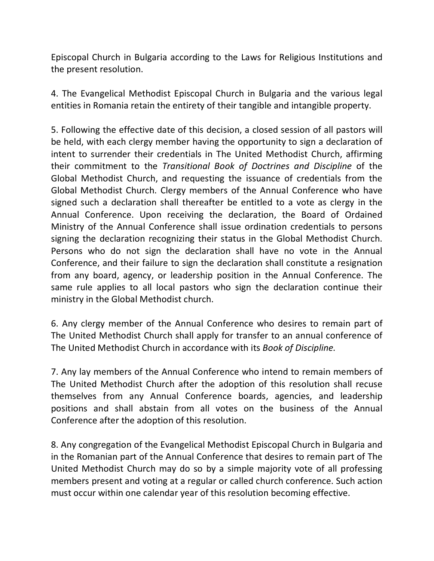Episcopal Church in Bulgaria according to the Laws for Religious Institutions and the present resolution.

4. The Evangelical Methodist Episcopal Church in Bulgaria and the various legal entities in Romania retain the entirety of their tangible and intangible property.

5. Following the effective date of this decision, a closed session of all pastors will be held, with each clergy member having the opportunity to sign a declaration of intent to surrender their credentials in The United Methodist Church, affirming their commitment to the *Transitional Book of Doctrines and Discipline* of the Global Methodist Church, and requesting the issuance of credentials from the Global Methodist Church. Clergy members of the Annual Conference who have signed such a declaration shall thereafter be entitled to a vote as clergy in the Annual Conference. Upon receiving the declaration, the Board of Ordained Ministry of the Annual Conference shall issue ordination credentials to persons signing the declaration recognizing their status in the Global Methodist Church. Persons who do not sign the declaration shall have no vote in the Annual Conference, and their failure to sign the declaration shall constitute a resignation from any board, agency, or leadership position in the Annual Conference. The same rule applies to all local pastors who sign the declaration continue their ministry in the Global Methodist church.

6. Any clergy member of the Annual Conference who desires to remain part of The United Methodist Church shall apply for transfer to an annual conference of The United Methodist Church in accordance with its *Book of Discipline.* 

7. Any lay members of the Annual Conference who intend to remain members of The United Methodist Church after the adoption of this resolution shall recuse themselves from any Annual Conference boards, agencies, and leadership positions and shall abstain from all votes on the business of the Annual Conference after the adoption of this resolution.

8. Any congregation of the Evangelical Methodist Episcopal Church in Bulgaria and in the Romanian part of the Annual Conference that desires to remain part of The United Methodist Church may do so by a simple majority vote of all professing members present and voting at a regular or called church conference. Such action must occur within one calendar year of this resolution becoming effective.